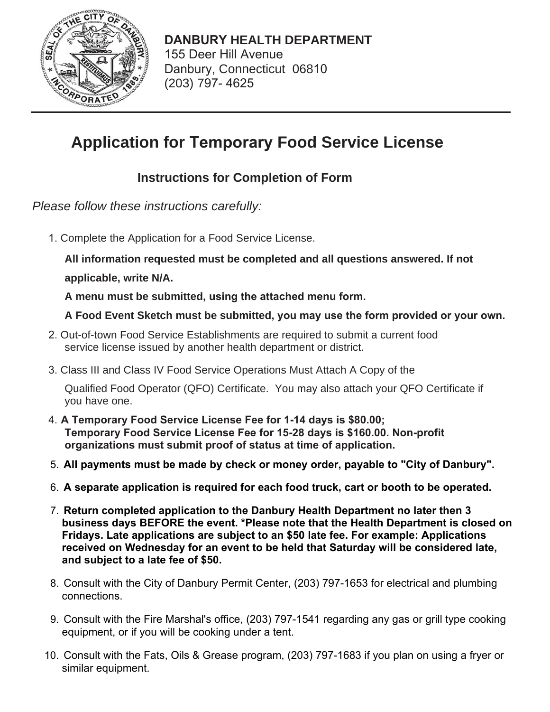

**DANBURY HEALTH DEPARTMENT** 155 Deer Hill Avenue Danbury, Connecticut 06810 (203) 797-4625

# **Application for Temporary Food Service License**

## **Instructions for Completion of Form**

*Please follow these instructions carefully:* 

1. Complete the Application for a Food Service License.

**All information requested must be completed and all questions answered. If not applicable, write N/A.**

A menu must be submitted, using the attached menu form.

### A Food Event Sketch must be submitted, you may use the form provided or your own.

- Out-of-town Food Service Establishments are required to submit a current food service license issued by another health department or district.
- Class III and Class IV Food Service Operations Must Attach A Copy of the

Qualified Food Operator (QFO) Certificate. You may also attach your QFO Certificate if you have one.

- 4. A Temporary Food Service License Fee for 1-14 days is \$80.00; **Temporary Food Service License Fee for 15-28 days is \$160.00. Non-profit** organizations must submit proof of status at time of application.
- 5. All payments must be made by check or money order, payable to "City of Danbury".
- 6. A separate application is required for each food truck, cart or booth to be operated.
- 7. **Return completed application to the Danbury Health Department no later then 3 business days BEFORE the event. \*Please note that the Health Department is closed on Fridays. Late applications are subject to an \$50 late fee. For example: Applications received on Wednesday for an event to be held that Saturday will be considered late, and subject to a late fee of \$50.**
- 8. Consult with the City of Danbury Permit Center, (203) 797-1653 for electrical and plumbing connections.
- 9. Consult with the Fire Marshal's office, (203) 797-1541 regarding any gas or grill type cooking equipment, or if you will be cooking under a tent.
- 10. Consult with the Fats, Oils & Grease program, (203) 797-1683 if you plan on using a fryer or similar equipment.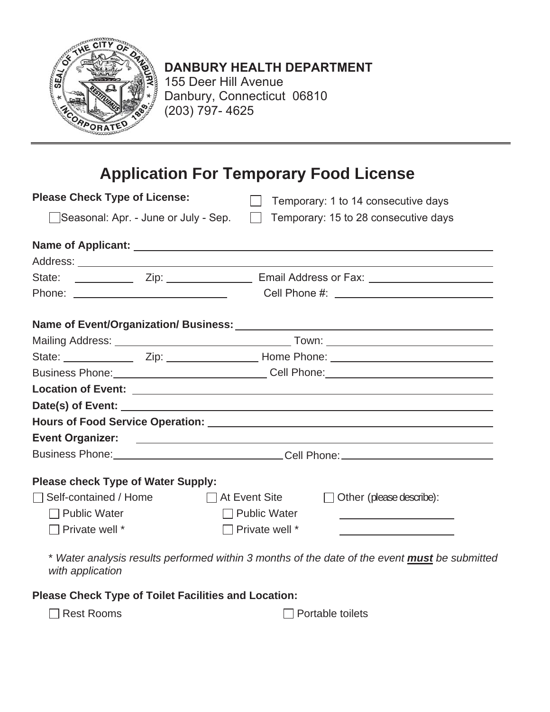

# **DANBURY HEALTH DEPARTMENT**

155 Deer Hill Avenue Danbury, Connecticut 06810  $(203)$  797-4625

# **Application For Temporary Food License**

| <b>Please Check Type of License:</b>      | Temporary: 1 to 14 consecutive days                                                                                                                                                                                                 |  |  |  |  |  |  |  |  |  |
|-------------------------------------------|-------------------------------------------------------------------------------------------------------------------------------------------------------------------------------------------------------------------------------------|--|--|--|--|--|--|--|--|--|
| Seasonal: Apr. - June or July - Sep.      | Temporary: 15 to 28 consecutive days<br>$\mathbf{1}$                                                                                                                                                                                |  |  |  |  |  |  |  |  |  |
|                                           |                                                                                                                                                                                                                                     |  |  |  |  |  |  |  |  |  |
|                                           |                                                                                                                                                                                                                                     |  |  |  |  |  |  |  |  |  |
|                                           |                                                                                                                                                                                                                                     |  |  |  |  |  |  |  |  |  |
|                                           |                                                                                                                                                                                                                                     |  |  |  |  |  |  |  |  |  |
| Name of Event/Organization/ Business:     |                                                                                                                                                                                                                                     |  |  |  |  |  |  |  |  |  |
|                                           |                                                                                                                                                                                                                                     |  |  |  |  |  |  |  |  |  |
|                                           | State: ___________________Zip: _______________________Home Phone: __________________________________                                                                                                                                |  |  |  |  |  |  |  |  |  |
|                                           |                                                                                                                                                                                                                                     |  |  |  |  |  |  |  |  |  |
|                                           |                                                                                                                                                                                                                                     |  |  |  |  |  |  |  |  |  |
|                                           |                                                                                                                                                                                                                                     |  |  |  |  |  |  |  |  |  |
|                                           |                                                                                                                                                                                                                                     |  |  |  |  |  |  |  |  |  |
|                                           |                                                                                                                                                                                                                                     |  |  |  |  |  |  |  |  |  |
|                                           | Business Phone: <u>Call Phone:</u> Cell Phone: Cell Phone: Community Phone: Cell Phone: Cell Phone: Cell Phone: Cell Phone: Cell Phone: Cell Phone: Cell Phone: Cell Phone: Cell Phone: Cell Phone: Cell Phone: Cell Phone: Cell Ph |  |  |  |  |  |  |  |  |  |
| <b>Please check Type of Water Supply:</b> |                                                                                                                                                                                                                                     |  |  |  |  |  |  |  |  |  |
| $\Box$ Self-contained / Home              | $\Box$ At Event Site<br>Other (please describe):<br>$\perp$                                                                                                                                                                         |  |  |  |  |  |  |  |  |  |
| $\Box$ Public Water                       | $\Box$ Public Water<br><u> 1980 - Johann Barbara, martxa alemaniar arg</u>                                                                                                                                                          |  |  |  |  |  |  |  |  |  |
| $\Box$ Private well $^*$                  | Private well *<br><u> 1989 - Johann Barbara, martxa alemaniar a</u>                                                                                                                                                                 |  |  |  |  |  |  |  |  |  |
|                                           | * Water analysis results performed within 3 months of the date of the event <b>must</b> be submitted                                                                                                                                |  |  |  |  |  |  |  |  |  |

*with application* 

**Please Check Type of Toilet Facilities and Location:** 

□ Rest Rooms Portable toilets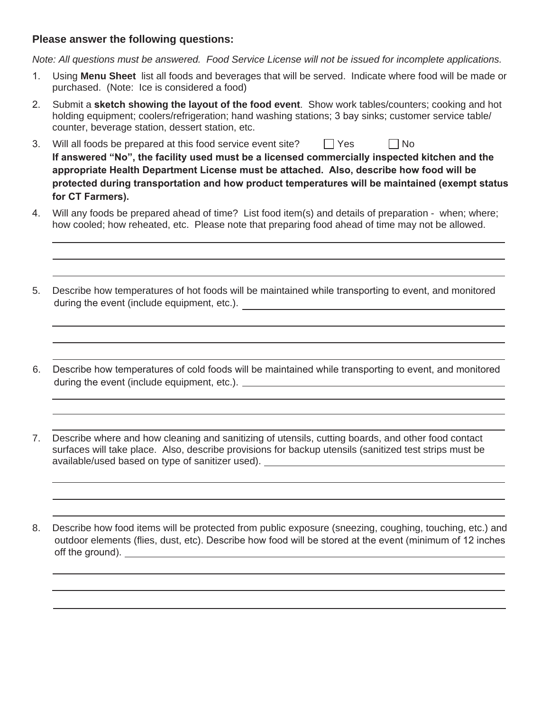#### **Please answer the following questions:**

*Note: All questions must be answered. Food Service License will not be issued for incomplete applications.* 

- Using **Menu Sheet** list all foods and beverages that will be served. Indicate where food will be made or purchased. (Note: Ice is considered a food)
- 2. Submit a **sketch showing the layout of the food event**. Show work tables/counters; cooking and hot holding equipment; coolers/refrigeration; hand washing stations; 3 bay sinks; customer service table/ counter, beverage station, dessert station, etc.
- 3. Will all foods be prepared at this food service event site?  $\Box$  Yes  $\Box$  No If answered "No", the facility used must be a licensed commercially inspected kitchen and the appropriate Health Department License must be attached. Also, describe how food will be protected during transportation and how product temperatures will be maintained (exempt status for CT Farmers).
- Will any foods be prepared ahead of time? List food item(s) and details of preparation when; where; how cooled; how reheated, etc. Please note that preparing food ahead of time may not be allowed.
- 5. Describe how temperatures of hot foods will be maintained while transporting to event, and monitored during the event (include equipment, etc.).
- 6. Describe how temperatures of cold foods will be maintained while transporting to event, and monitored during the event (include equipment, etc.).
- 7. Describe where and how cleaning and sanitizing of utensils, cutting boards, and other food contact surfaces will take place. Also, describe provisions for backup utensils (sanitized test strips must be available/used based on type of sanitizer used).

8. Describe how food items will be protected from public exposure (sneezing, coughing, touching, etc.) and outdoor elements (flies, dust, etc). Describe how food will be stored at the event (minimum of 12 inches off the ground).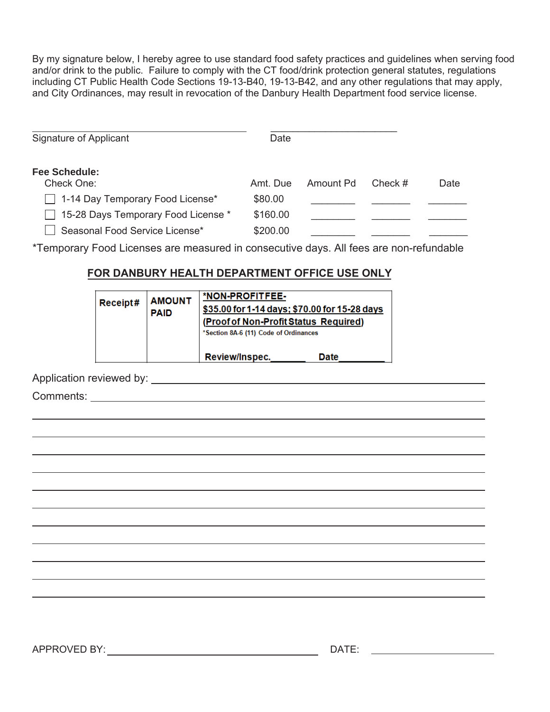By my signature below, I hereby agree to use standard food safety practices and guidelines when serving food and/or drink to the public. Failure to comply with the CT food/drink protection general statutes, regulations including CT Public Health Code Sections 19-13-B40, 19-13-B42, and any other regulations that may apply, and City Ordinances, may result in revocation of the Danbury Health Department food service license.

| Signature of Applicant              | Date     |           |         |      |
|-------------------------------------|----------|-----------|---------|------|
| <b>Fee Schedule:</b><br>Check One:  | Amt. Due | Amount Pd | Check # | Date |
| 1-14 Day Temporary Food License*    | \$80.00  |           |         |      |
| 15-28 Days Temporary Food License * | \$160.00 |           |         |      |
| Seasonal Food Service License*      | \$200.00 |           |         |      |

\*Temporary Food Licenses are measured in consecutive days. All fees are non-refundable

#### **FOR DANBURY HEALTH DEPARTMENT OFFICE USE ONLY**

| Receipt# | <b>AMOUNT</b><br><b>PAID</b> | *NON-PROFITFEE-<br>\$35.00 for 1-14 days; \$70.00 for 15-28 days<br>(Proof of Non-Profit Status Required)<br>*Section 8A-6 (11) Code of Ordinances |      |
|----------|------------------------------|----------------------------------------------------------------------------------------------------------------------------------------------------|------|
|          |                              | Review/Inspec.                                                                                                                                     | Date |

Application reviewed by:

Comments: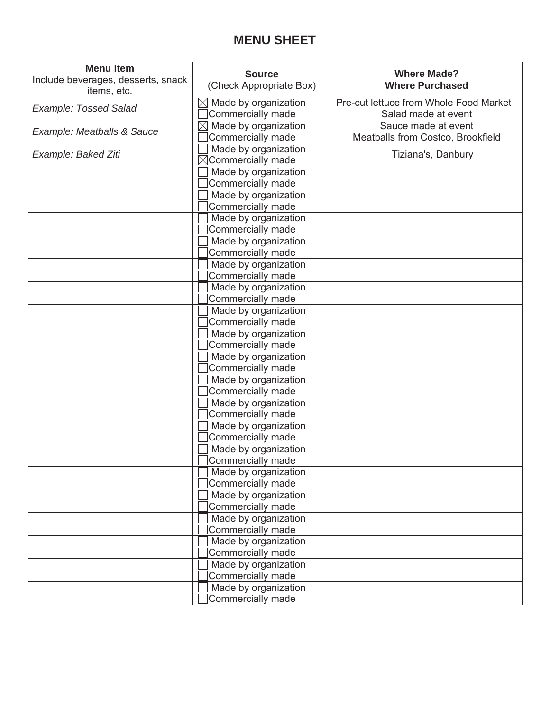### **MENU SHEET**

| <b>Menu Item</b><br>Include beverages, desserts, snack<br>items, etc. | <b>Source</b><br>(Check Appropriate Box)                 | <b>Where Made?</b><br><b>Where Purchased</b>                  |  |  |  |  |  |  |
|-----------------------------------------------------------------------|----------------------------------------------------------|---------------------------------------------------------------|--|--|--|--|--|--|
| <b>Example: Tossed Salad</b>                                          | $\boxtimes$<br>Made by organization<br>Commercially made | Pre-cut lettuce from Whole Food Market<br>Salad made at event |  |  |  |  |  |  |
| Example: Meatballs & Sauce                                            | Made by organization<br>Commercially made                | Sauce made at event<br>Meatballs from Costco, Brookfield      |  |  |  |  |  |  |
| Example: Baked Ziti                                                   | Made by organization<br>$\boxtimes$ Commercially made    | Tiziana's, Danbury                                            |  |  |  |  |  |  |
|                                                                       | Made by organization<br>Commercially made                |                                                               |  |  |  |  |  |  |
|                                                                       | Made by organization<br>Commercially made                |                                                               |  |  |  |  |  |  |
|                                                                       | Made by organization<br>Commercially made                |                                                               |  |  |  |  |  |  |
|                                                                       | Made by organization<br>Commercially made                |                                                               |  |  |  |  |  |  |
|                                                                       | Made by organization<br>Commercially made                |                                                               |  |  |  |  |  |  |
|                                                                       | Made by organization<br>Commercially made                |                                                               |  |  |  |  |  |  |
|                                                                       | Made by organization<br>Commercially made                |                                                               |  |  |  |  |  |  |
|                                                                       | Made by organization<br>Commercially made                |                                                               |  |  |  |  |  |  |
|                                                                       | Made by organization<br>Commercially made                |                                                               |  |  |  |  |  |  |
|                                                                       | Made by organization<br>Commercially made                |                                                               |  |  |  |  |  |  |
|                                                                       | Made by organization<br>Commercially made                |                                                               |  |  |  |  |  |  |
|                                                                       | Made by organization<br>Commercially made                |                                                               |  |  |  |  |  |  |
|                                                                       | Made by organization<br>Commercially made                |                                                               |  |  |  |  |  |  |
|                                                                       | Made by organization<br>Commercially made                |                                                               |  |  |  |  |  |  |
|                                                                       | Made by organization<br>Commercially made                |                                                               |  |  |  |  |  |  |
|                                                                       | Made by organization<br>Commercially made                |                                                               |  |  |  |  |  |  |
|                                                                       | Made by organization<br>Commercially made                |                                                               |  |  |  |  |  |  |
|                                                                       | Made by organization<br>Commercially made                |                                                               |  |  |  |  |  |  |
|                                                                       | Made by organization<br>Commercially made                |                                                               |  |  |  |  |  |  |